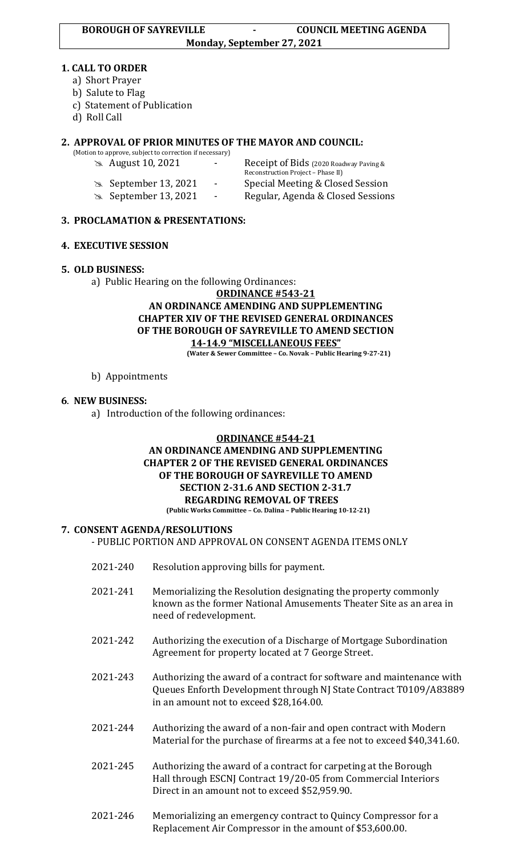#### **1. CALL TO ORDER**

- a) Short Prayer
- b) Salute to Flag
- c) Statement of Publication
- d) Roll Call

## **2. APPROVAL OF PRIOR MINUTES OF THE MAYOR AND COUNCIL:**

(Motion to approve, subject to correction if necessary)

- 
- 
- 
- August 10, 2021 Receipt of Bids (2020 Roadway Paving & Reconstruction Project – Phase II) September 13, 2021 - Special Meeting & Closed Session September 13, 2021 - Regular, Agenda & Closed Sessions

### **3. PROCLAMATION & PRESENTATIONS:**

### **4. EXECUTIVE SESSION**

# **5. OLD BUSINESS:**

a) Public Hearing on the following Ordinances:

## **ORDINANCE #543-21 AN ORDINANCE AMENDING AND SUPPLEMENTING CHAPTER XIV OF THE REVISED GENERAL ORDINANCES OF THE BOROUGH OF SAYREVILLE TO AMEND SECTION 14-14.9 "MISCELLANEOUS FEES"**

**(Water & Sewer Committee – Co. Novak – Public Hearing 9-27-21)**

b) Appointments

### **6**. **NEW BUSINESS:**

a) Introduction of the following ordinances:

#### **ORDINANCE #544-21 AN ORDINANCE AMENDING AND SUPPLEMENTING CHAPTER 2 OF THE REVISED GENERAL ORDINANCES OF THE BOROUGH OF SAYREVILLE TO AMEND SECTION 2-31.6 AND SECTION 2-31.7 REGARDING REMOVAL OF TREES (Public Works Committee – Co. Dalina – Public Hearing 10-12-21)**

# **7. CONSENT AGENDA/RESOLUTIONS**

- PUBLIC PORTION AND APPROVAL ON CONSENT AGENDA ITEMS ONLY

- 2021-240 Resolution approving bills for payment.
- 2021-241 Memorializing the Resolution designating the property commonly known as the former National Amusements Theater Site as an area in need of redevelopment.
- 2021-242 Authorizing the execution of a Discharge of Mortgage Subordination Agreement for property located at 7 George Street.
- 2021-243 Authorizing the award of a contract for software and maintenance with Queues Enforth Development through NJ State Contract T0109/A83889 in an amount not to exceed \$28,164.00.
- 2021-244 Authorizing the award of a non-fair and open contract with Modern Material for the purchase of firearms at a fee not to exceed \$40,341.60.
- 2021-245 Authorizing the award of a contract for carpeting at the Borough Hall through ESCNJ Contract 19/20-05 from Commercial Interiors Direct in an amount not to exceed \$52,959.90.
- 2021-246 Memorializing an emergency contract to Quincy Compressor for a Replacement Air Compressor in the amount of \$53,600.00.